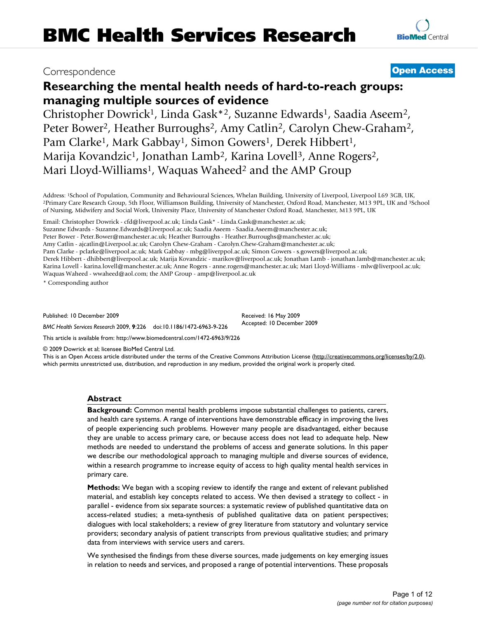## Correspondence **[Open Access](http://www.biomedcentral.com/info/about/charter/)**

# **Researching the mental health needs of hard-to-reach groups: managing multiple sources of evidence**

Christopher Dowrick<sup>1</sup>, Linda Gask<sup>\*2</sup>, Suzanne Edwards<sup>1</sup>, Saadia Aseem<sup>2</sup>, Peter Bower<sup>2</sup>, Heather Burroughs<sup>2</sup>, Amy Catlin<sup>2</sup>, Carolyn Chew-Graham<sup>2</sup>, Pam Clarke<sup>1</sup>, Mark Gabbay<sup>1</sup>, Simon Gowers<sup>1</sup>, Derek Hibbert<sup>1</sup>, Marija Kovandzic<sup>1</sup>, Jonathan Lamb<sup>2</sup>, Karina Lovell<sup>3</sup>, Anne Rogers<sup>2</sup>, Mari Lloyd-Williams<sup>1</sup>, Waquas Waheed<sup>2</sup> and the AMP Group

Address: <sup>1</sup>School of Population, Community and Behavioural Sciences, Whelan Building, University of Liverpool, Liverpool L69 3GB, UK,<br><sup>2</sup>Primary Care Research Group, 5th Floor, Williamson Building, University of Mancheste of Nursing, Midwifery and Social Work, University Place, University of Manchester Oxford Road, Manchester, M13 9PL, UK

Email: Christopher Dowrick - cfd@liverpool.ac.uk; Linda Gask\* - Linda.Gask@manchester.ac.uk;

Suzanne Edwards - Suzanne.Edwards@Liverpool.ac.uk; Saadia Aseem - Saadia.Aseem@manchester.ac.uk;

Peter Bower - Peter.Bower@manchester.ac.uk; Heather Burroughs - Heather.Burroughs@manchester.ac.uk;

Amy Catlin - ajcatlin@Liverpool.ac.uk; Carolyn Chew-Graham - Carolyn.Chew-Graham@manchester.ac.uk;

Pam Clarke - pclarke@liverpool.ac.uk; Mark Gabbay - mbg@liverppol.ac.uk; Simon Gowers - s.gowers@liverpool.ac.uk;

Derek Hibbert - dhibbert@liverpool.ac.uk; Marija Kovandzic - marikov@liverpool.ac.uk; Jonathan Lamb - jonathan.lamb@manchester.ac.uk; Karina Lovell - karina.lovell@manchester.ac.uk; Anne Rogers - anne.rogers@manchester.ac.uk; Mari Lloyd-Williams - mlw@liverpool.ac.uk; Waquas Waheed - wwaheed@aol.com; the AMP Group - amp@liverpool.ac.uk

\* Corresponding author

Published: 10 December 2009

*BMC Health Services Research* 2009, **9**:226 doi:10.1186/1472-6963-9-226

[This article is available from: http://www.biomedcentral.com/1472-6963/9/226](http://www.biomedcentral.com/1472-6963/9/226)

© 2009 Dowrick et al; licensee BioMed Central Ltd.

This is an Open Access article distributed under the terms of the Creative Commons Attribution License [\(http://creativecommons.org/licenses/by/2.0\)](http://creativecommons.org/licenses/by/2.0), which permits unrestricted use, distribution, and reproduction in any medium, provided the original work is properly cited.

Received: 16 May 2009 Accepted: 10 December 2009

#### **Abstract**

**Background:** Common mental health problems impose substantial challenges to patients, carers, and health care systems. A range of interventions have demonstrable efficacy in improving the lives of people experiencing such problems. However many people are disadvantaged, either because they are unable to access primary care, or because access does not lead to adequate help. New methods are needed to understand the problems of access and generate solutions. In this paper we describe our methodological approach to managing multiple and diverse sources of evidence, within a research programme to increase equity of access to high quality mental health services in primary care.

**Methods:** We began with a scoping review to identify the range and extent of relevant published material, and establish key concepts related to access. We then devised a strategy to collect - in parallel - evidence from six separate sources: a systematic review of published quantitative data on access-related studies; a meta-synthesis of published qualitative data on patient perspectives; dialogues with local stakeholders; a review of grey literature from statutory and voluntary service providers; secondary analysis of patient transcripts from previous qualitative studies; and primary data from interviews with service users and carers.

We synthesised the findings from these diverse sources, made judgements on key emerging issues in relation to needs and services, and proposed a range of potential interventions. These proposals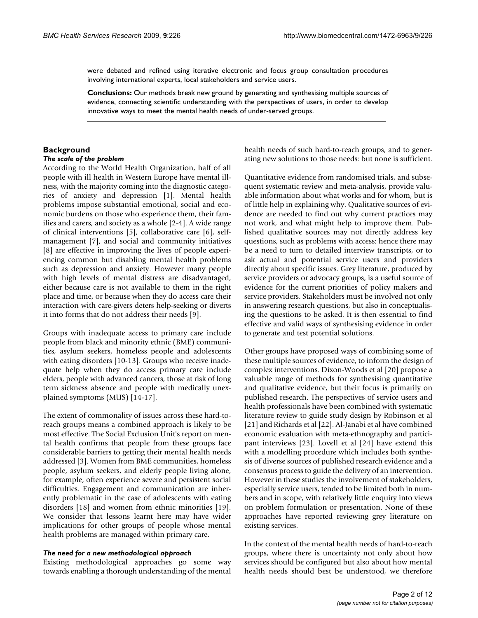were debated and refined using iterative electronic and focus group consultation procedures involving international experts, local stakeholders and service users.

**Conclusions:** Our methods break new ground by generating and synthesising multiple sources of evidence, connecting scientific understanding with the perspectives of users, in order to develop innovative ways to meet the mental health needs of under-served groups.

#### **Background**

#### *The scale of the problem*

According to the World Health Organization, half of all people with ill health in Western Europe have mental illness, with the majority coming into the diagnostic categories of anxiety and depression [1]. Mental health problems impose substantial emotional, social and economic burdens on those who experience them, their families and carers, and society as a whole [2-4]. A wide range of clinical interventions [5], collaborative care [6], selfmanagement [7], and social and community initiatives [8] are effective in improving the lives of people experiencing common but disabling mental health problems such as depression and anxiety. However many people with high levels of mental distress are disadvantaged, either because care is not available to them in the right place and time, or because when they do access care their interaction with care-givers deters help-seeking or diverts it into forms that do not address their needs [9].

Groups with inadequate access to primary care include people from black and minority ethnic (BME) communities, asylum seekers, homeless people and adolescents with eating disorders [10-13]. Groups who receive inadequate help when they do access primary care include elders, people with advanced cancers, those at risk of long term sickness absence and people with medically unexplained symptoms (MUS) [14-17].

The extent of commonality of issues across these hard-toreach groups means a combined approach is likely to be most effective. The Social Exclusion Unit's report on mental health confirms that people from these groups face considerable barriers to getting their mental health needs addressed [3]. Women from BME communities, homeless people, asylum seekers, and elderly people living alone, for example, often experience severe and persistent social difficulties. Engagement and communication are inherently problematic in the case of adolescents with eating disorders [18] and women from ethnic minorities [19]. We consider that lessons learnt here may have wider implications for other groups of people whose mental health problems are managed within primary care.

#### *The need for a new methodological approach*

Existing methodological approaches go some way towards enabling a thorough understanding of the mental

health needs of such hard-to-reach groups, and to generating new solutions to those needs: but none is sufficient.

Quantitative evidence from randomised trials, and subsequent systematic review and meta-analysis, provide valuable information about what works and for whom, but is of little help in explaining why. Qualitative sources of evidence are needed to find out why current practices may not work, and what might help to improve them. Published qualitative sources may not directly address key questions, such as problems with access: hence there may be a need to turn to detailed interview transcripts, or to ask actual and potential service users and providers directly about specific issues. Grey literature, produced by service providers or advocacy groups, is a useful source of evidence for the current priorities of policy makers and service providers. Stakeholders must be involved not only in answering research questions, but also in conceptualising the questions to be asked. It is then essential to find effective and valid ways of synthesising evidence in order to generate and test potential solutions.

Other groups have proposed ways of combining some of these multiple sources of evidence, to inform the design of complex interventions. Dixon-Woods et al [20] propose a valuable range of methods for synthesising quantitative and qualitative evidence, but their focus is primarily on published research. The perspectives of service users and health professionals have been combined with systematic literature review to guide study design by Robinson et al [21] and Richards et al [22]. Al-Janabi et al have combined economic evaluation with meta-ethnography and participant interviews [23]. Lovell et al [24] have extend this with a modelling procedure which includes both synthesis of diverse sources of published research evidence and a consensus process to guide the delivery of an intervention. However in these studies the involvement of stakeholders, especially service users, tended to be limited both in numbers and in scope, with relatively little enquiry into views on problem formulation or presentation. None of these approaches have reported reviewing grey literature on existing services.

In the context of the mental health needs of hard-to-reach groups, where there is uncertainty not only about how services should be configured but also about how mental health needs should best be understood, we therefore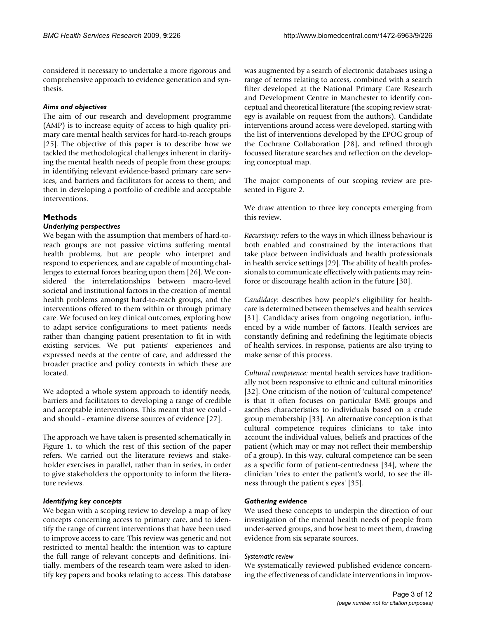considered it necessary to undertake a more rigorous and comprehensive approach to evidence generation and synthesis.

#### *Aims and objectives*

The aim of our research and development programme (AMP) is to increase equity of access to high quality primary care mental health services for hard-to-reach groups [25]. The objective of this paper is to describe how we tackled the methodological challenges inherent in clarifying the mental health needs of people from these groups; in identifying relevant evidence-based primary care services, and barriers and facilitators for access to them; and then in developing a portfolio of credible and acceptable interventions.

## **Methods**

#### *Underlying perspectives*

We began with the assumption that members of hard-toreach groups are not passive victims suffering mental health problems, but are people who interpret and respond to experiences, and are capable of mounting challenges to external forces bearing upon them [26]. We considered the interrelationships between macro-level societal and institutional factors in the creation of mental health problems amongst hard-to-reach groups, and the interventions offered to them within or through primary care. We focused on key clinical outcomes, exploring how to adapt service configurations to meet patients' needs rather than changing patient presentation to fit in with existing services. We put patients' experiences and expressed needs at the centre of care, and addressed the broader practice and policy contexts in which these are located.

We adopted a whole system approach to identify needs, barriers and facilitators to developing a range of credible and acceptable interventions. This meant that we could and should - examine diverse sources of evidence [27].

The approach we have taken is presented schematically in Figure 1, to which the rest of this section of the paper refers. We carried out the literature reviews and stakeholder exercises in parallel, rather than in series, in order to give stakeholders the opportunity to inform the literature reviews.

#### *Identifying key concepts*

We began with a scoping review to develop a map of key concepts concerning access to primary care, and to identify the range of current interventions that have been used to improve access to care. This review was generic and not restricted to mental health: the intention was to capture the full range of relevant concepts and definitions. Initially, members of the research team were asked to identify key papers and books relating to access. This database was augmented by a search of electronic databases using a range of terms relating to access, combined with a search filter developed at the National Primary Care Research and Development Centre in Manchester to identify conceptual and theoretical literature (the scoping review strategy is available on request from the authors). Candidate interventions around access were developed, starting with the list of interventions developed by the EPOC group of the Cochrane Collaboration [28], and refined through focussed literature searches and reflection on the developing conceptual map.

The major components of our scoping review are presented in Figure 2.

We draw attention to three key concepts emerging from this review.

*Recursivity:* refers to the ways in which illness behaviour is both enabled and constrained by the interactions that take place between individuals and health professionals in health service settings [29]. The ability of health professionals to communicate effectively with patients may reinforce or discourage health action in the future [30].

*Candidacy:* describes how people's eligibility for healthcare is determined between themselves and health services [31]. Candidacy arises from ongoing negotiation, influenced by a wide number of factors. Health services are constantly defining and redefining the legitimate objects of health services. In response, patients are also trying to make sense of this process.

*Cultural competence:* mental health services have traditionally not been responsive to ethnic and cultural minorities [32]. One criticism of the notion of 'cultural competence' is that it often focuses on particular BME groups and ascribes characteristics to individuals based on a crude group membership [33]. An alternative conception is that cultural competence requires clinicians to take into account the individual values, beliefs and practices of the patient (which may or may not reflect their membership of a group). In this way, cultural competence can be seen as a specific form of patient-centredness [34], where the clinician 'tries to enter the patient's world, to see the illness through the patient's eyes' [35].

## *Gathering evidence*

We used these concepts to underpin the direction of our investigation of the mental health needs of people from under-served groups, and how best to meet them, drawing evidence from six separate sources.

#### *Systematic review*

We systematically reviewed published evidence concerning the effectiveness of candidate interventions in improv-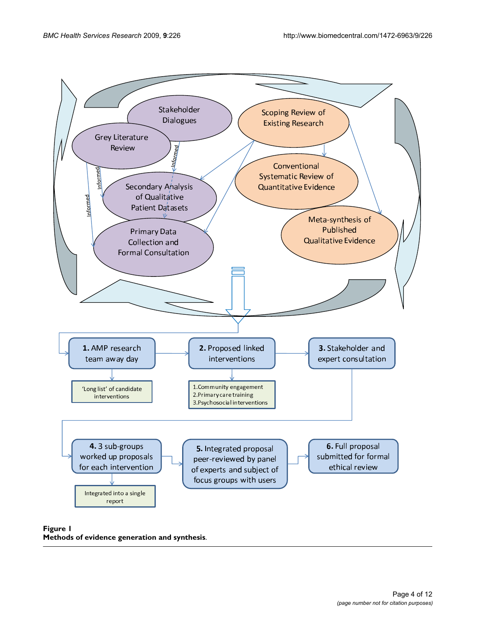

**Figure 1 Methods of evidence generation and synthesis**.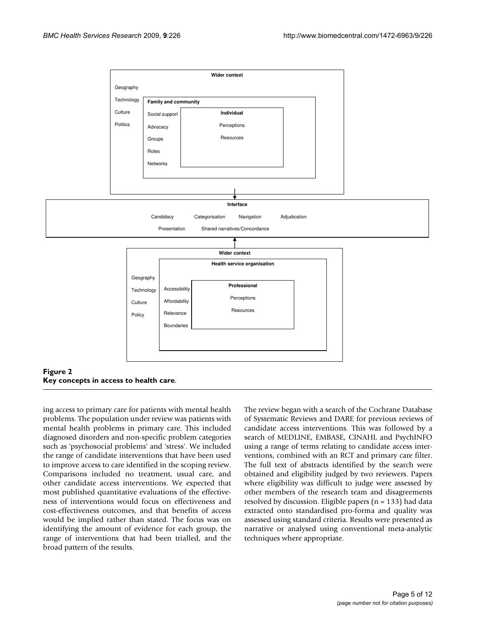

ing access to primary care for patients with mental health problems. The population under review was patients with mental health problems in primary care. This included diagnosed disorders and non-specific problem categories such as 'psychosocial problems' and 'stress'. We included the range of candidate interventions that have been used to improve access to care identified in the scoping review. Comparisons included no treatment, usual care, and other candidate access interventions. We expected that most published quantitative evaluations of the effectiveness of interventions would focus on effectiveness and cost-effectiveness outcomes, and that benefits of access would be implied rather than stated. The focus was on identifying the amount of evidence for each group, the range of interventions that had been trialled, and the broad pattern of the results.

The review began with a search of the Cochrane Database of Systematic Reviews and DARE for previous reviews of candidate access interventions. This was followed by a search of MEDLINE, EMBASE, CINAHL and PsychINFO using a range of terms relating to candidate access interventions, combined with an RCT and primary care filter. The full text of abstracts identified by the search were obtained and eligibility judged by two reviewers. Papers where eligibility was difficult to judge were assessed by other members of the research team and disagreements resolved by discussion. Eligible papers (n = 133) had data extracted onto standardised pro-forma and quality was assessed using standard criteria. Results were presented as narrative or analysed using conventional meta-analytic techniques where appropriate.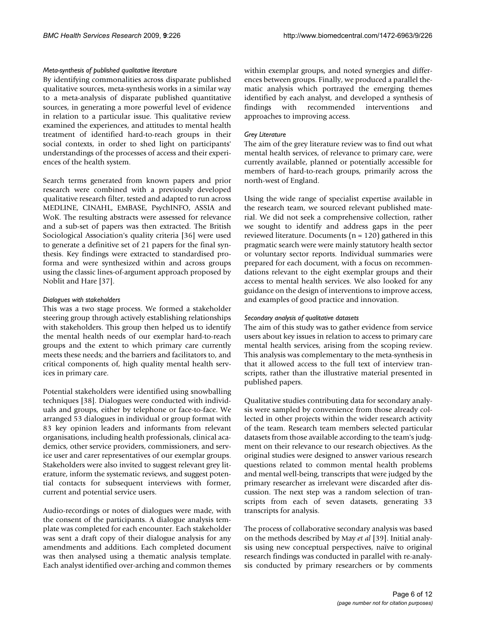#### *Meta-synthesis of published qualitative literature*

By identifying commonalities across disparate published qualitative sources, meta-synthesis works in a similar way to a meta-analysis of disparate published quantitative sources, in generating a more powerful level of evidence in relation to a particular issue. This qualitative review examined the experiences, and attitudes to mental health treatment of identified hard-to-reach groups in their social contexts, in order to shed light on participants' understandings of the processes of access and their experiences of the health system.

Search terms generated from known papers and prior research were combined with a previously developed qualitative research filter, tested and adapted to run across MEDLINE, CINAHL, EMBASE, PsychINFO, ASSIA and WoK. The resulting abstracts were assessed for relevance and a sub-set of papers was then extracted. The British Sociological Association's quality criteria [36] were used to generate a definitive set of 21 papers for the final synthesis. Key findings were extracted to standardised proforma and were synthesized within and across groups using the classic lines-of-argument approach proposed by Noblit and Hare [37].

#### *Dialogues with stakeholders*

This was a two stage process. We formed a stakeholder steering group through actively establishing relationships with stakeholders. This group then helped us to identify the mental health needs of our exemplar hard-to-reach groups and the extent to which primary care currently meets these needs; and the barriers and facilitators to, and critical components of, high quality mental health services in primary care.

Potential stakeholders were identified using snowballing techniques [38]. Dialogues were conducted with individuals and groups, either by telephone or face-to-face. We arranged 53 dialogues in individual or group format with 83 key opinion leaders and informants from relevant organisations, including health professionals, clinical academics, other service providers, commissioners, and service user and carer representatives of our exemplar groups. Stakeholders were also invited to suggest relevant grey literature, inform the systematic reviews, and suggest potential contacts for subsequent interviews with former, current and potential service users.

Audio-recordings or notes of dialogues were made, with the consent of the participants. A dialogue analysis template was completed for each encounter. Each stakeholder was sent a draft copy of their dialogue analysis for any amendments and additions. Each completed document was then analysed using a thematic analysis template. Each analyst identified over-arching and common themes within exemplar groups, and noted synergies and differences between groups. Finally, we produced a parallel thematic analysis which portrayed the emerging themes identified by each analyst, and developed a synthesis of findings with recommended interventions and approaches to improving access.

#### *Grey Literature*

The aim of the grey literature review was to find out what mental health services, of relevance to primary care, were currently available, planned or potentially accessible for members of hard-to-reach groups, primarily across the north-west of England.

Using the wide range of specialist expertise available in the research team, we sourced relevant published material. We did not seek a comprehensive collection, rather we sought to identify and address gaps in the peer reviewed literature. Documents ( $n = 120$ ) gathered in this pragmatic search were were mainly statutory health sector or voluntary sector reports. Individual summaries were prepared for each document, with a focus on recommendations relevant to the eight exemplar groups and their access to mental health services. We also looked for any guidance on the design of interventions to improve access, and examples of good practice and innovation.

## *Secondary analysis of qualitative datasets*

The aim of this study was to gather evidence from service users about key issues in relation to access to primary care mental health services, arising from the scoping review. This analysis was complementary to the meta-synthesis in that it allowed access to the full text of interview transcripts, rather than the illustrative material presented in published papers.

Qualitative studies contributing data for secondary analysis were sampled by convenience from those already collected in other projects within the wider research activity of the team. Research team members selected particular datasets from those available according to the team's judgment on their relevance to our research objectives. As the original studies were designed to answer various research questions related to common mental health problems and mental well-being, transcripts that were judged by the primary researcher as irrelevant were discarded after discussion. The next step was a random selection of transcripts from each of seven datasets, generating 33 transcripts for analysis.

The process of collaborative secondary analysis was based on the methods described by May *et al* [39]. Initial analysis using new conceptual perspectives, naïve to original research findings was conducted in parallel with re-analysis conducted by primary researchers or by comments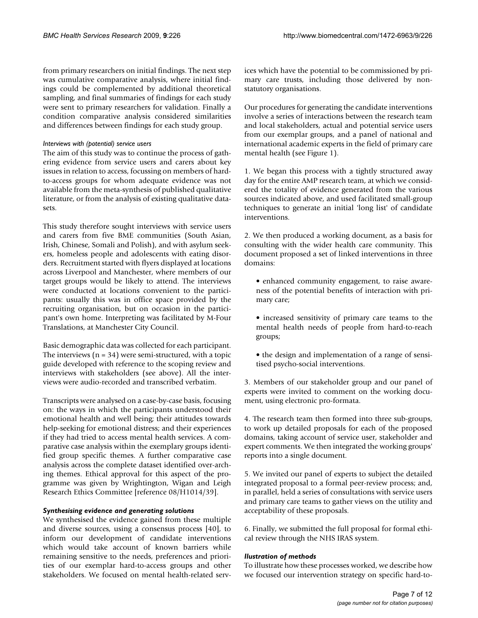from primary researchers on initial findings. The next step was cumulative comparative analysis, where initial findings could be complemented by additional theoretical sampling, and final summaries of findings for each study were sent to primary researchers for validation. Finally a condition comparative analysis considered similarities and differences between findings for each study group.

#### *Interviews with (potential) service users*

The aim of this study was to continue the process of gathering evidence from service users and carers about key issues in relation to access, focussing on members of hardto-access groups for whom adequate evidence was not available from the meta-synthesis of published qualitative literature, or from the analysis of existing qualitative datasets.

This study therefore sought interviews with service users and carers from five BME communities (South Asian, Irish, Chinese, Somali and Polish), and with asylum seekers, homeless people and adolescents with eating disorders. Recruitment started with flyers displayed at locations across Liverpool and Manchester, where members of our target groups would be likely to attend. The interviews were conducted at locations convenient to the participants: usually this was in office space provided by the recruiting organisation, but on occasion in the participant's own home. Interpreting was facilitated by M-Four Translations, at Manchester City Council.

Basic demographic data was collected for each participant. The interviews  $(n = 34)$  were semi-structured, with a topic guide developed with reference to the scoping review and interviews with stakeholders (see above). All the interviews were audio-recorded and transcribed verbatim.

Transcripts were analysed on a case-by-case basis, focusing on: the ways in which the participants understood their emotional health and well being; their attitudes towards help-seeking for emotional distress; and their experiences if they had tried to access mental health services. A comparative case analysis within the exemplary groups identified group specific themes. A further comparative case analysis across the complete dataset identified over-arching themes. Ethical approval for this aspect of the programme was given by Wrightington, Wigan and Leigh Research Ethics Committee [reference 08/H1014/39].

#### *Synthesising evidence and generating solutions*

We synthesised the evidence gained from these multiple and diverse sources, using a consensus process [40], to inform our development of candidate interventions which would take account of known barriers while remaining sensitive to the needs, preferences and priorities of our exemplar hard-to-access groups and other stakeholders. We focused on mental health-related services which have the potential to be commissioned by primary care trusts, including those delivered by nonstatutory organisations.

Our procedures for generating the candidate interventions involve a series of interactions between the research team and local stakeholders, actual and potential service users from our exemplar groups, and a panel of national and international academic experts in the field of primary care mental health (see Figure 1).

1. We began this process with a tightly structured away day for the entire AMP research team, at which we considered the totality of evidence generated from the various sources indicated above, and used facilitated small-group techniques to generate an initial 'long list' of candidate interventions.

2. We then produced a working document, as a basis for consulting with the wider health care community. This document proposed a set of linked interventions in three domains:

- enhanced community engagement, to raise awareness of the potential benefits of interaction with primary care;
- increased sensitivity of primary care teams to the mental health needs of people from hard-to-reach groups;
- the design and implementation of a range of sensitised psycho-social interventions.

3. Members of our stakeholder group and our panel of experts were invited to comment on the working document, using electronic pro-formata.

4. The research team then formed into three sub-groups, to work up detailed proposals for each of the proposed domains, taking account of service user, stakeholder and expert comments. We then integrated the working groups' reports into a single document.

5. We invited our panel of experts to subject the detailed integrated proposal to a formal peer-review process; and, in parallel, held a series of consultations with service users and primary care teams to gather views on the utility and acceptability of these proposals.

6. Finally, we submitted the full proposal for formal ethical review through the NHS IRAS system.

## *Ilustration of methods*

To illustrate how these processes worked, we describe how we focused our intervention strategy on specific hard-to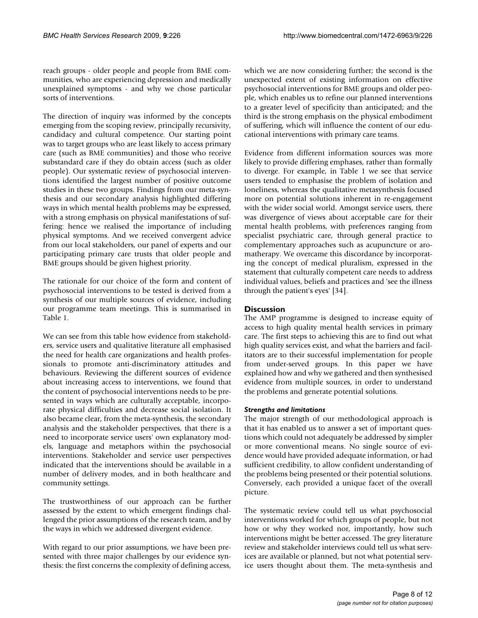reach groups - older people and people from BME communities, who are experiencing depression and medically unexplained symptoms - and why we chose particular sorts of interventions.

The direction of inquiry was informed by the concepts emerging from the scoping review, principally recursivity, candidacy and cultural competence. Our starting point was to target groups who are least likely to access primary care (such as BME communities) and those who receive substandard care if they do obtain access (such as older people). Our systematic review of psychosocial interventions identified the largest number of positive outcome studies in these two groups. Findings from our meta-synthesis and our secondary analysis highlighted differing ways in which mental health problems may be expressed, with a strong emphasis on physical manifestations of suffering: hence we realised the importance of including physical symptoms. And we received convergent advice from our local stakeholders, our panel of experts and our participating primary care trusts that older people and BME groups should be given highest priority.

The rationale for our choice of the form and content of psychosocial interventions to be tested is derived from a synthesis of our multiple sources of evidence, including our programme team meetings. This is summarised in Table 1.

We can see from this table how evidence from stakeholders, service users and qualitative literature all emphasised the need for health care organizations and health professionals to promote anti-discriminatory attitudes and behaviours. Reviewing the different sources of evidence about increasing access to interventions, we found that the content of psychosocial interventions needs to be presented in ways which are culturally acceptable, incorporate physical difficulties and decrease social isolation. It also became clear, from the meta-synthesis, the secondary analysis and the stakeholder perspectives, that there is a need to incorporate service users' own explanatory models, language and metaphors within the psychosocial interventions. Stakeholder and service user perspectives indicated that the interventions should be available in a number of delivery modes, and in both healthcare and community settings.

The trustworthiness of our approach can be further assessed by the extent to which emergent findings challenged the prior assumptions of the research team, and by the ways in which we addressed divergent evidence.

With regard to our prior assumptions, we have been presented with three major challenges by our evidence synthesis: the first concerns the complexity of defining access,

which we are now considering further; the second is the unexpected extent of existing information on effective psychosocial interventions for BME groups and older people, which enables us to refine our planned interventions to a greater level of specificity than anticipated; and the third is the strong emphasis on the physical embodiment of suffering, which will influence the content of our educational interventions with primary care teams.

Evidence from different information sources was more likely to provide differing emphases, rather than formally to diverge. For example, in Table 1 we see that service users tended to emphasise the problem of isolation and loneliness, whereas the qualitative metasynthesis focused more on potential solutions inherent in re-engagement with the wider social world. Amongst service users, there was divergence of views about acceptable care for their mental health problems, with preferences ranging from specialist psychiatric care, through general practice to complementary approaches such as acupuncture or aromatherapy. We overcame this discordance by incorporating the concept of medical pluralism, expressed in the statement that culturally competent care needs to address individual values, beliefs and practices and 'see the illness through the patient's eyes' [34].

## **Discussion**

The AMP programme is designed to increase equity of access to high quality mental health services in primary care. The first steps to achieving this are to find out what high quality services exist, and what the barriers and facilitators are to their successful implementation for people from under-served groups. In this paper we have explained how and why we gathered and then synthesised evidence from multiple sources, in order to understand the problems and generate potential solutions.

## *Strengths and limitations*

The major strength of our methodological approach is that it has enabled us to answer a set of important questions which could not adequately be addressed by simpler or more conventional means. No single source of evidence would have provided adequate information, or had sufficient credibility, to allow confident understanding of the problems being presented or their potential solutions. Conversely, each provided a unique facet of the overall picture.

The systematic review could tell us what psychosocial interventions worked for which groups of people, but not how or why they worked nor, importantly, how such interventions might be better accessed. The grey literature review and stakeholder interviews could tell us what services are available or planned, but not what potential service users thought about them. The meta-synthesis and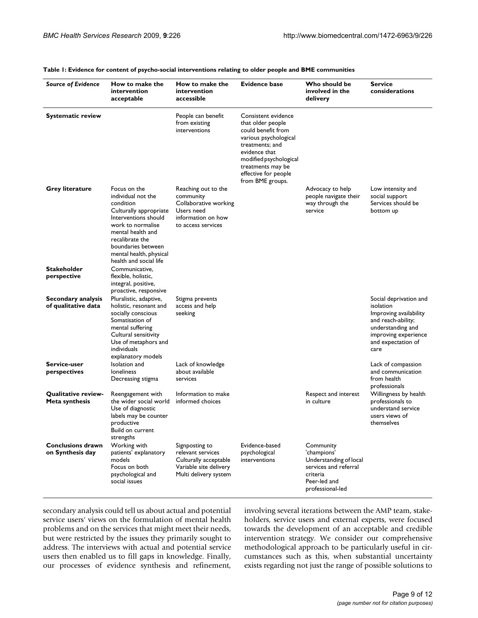| <b>Source of Evidence</b>                    | How to make the<br>intervention<br>acceptable                                                                                                                                                                                             | How to make the<br>intervention<br>accessible                                                                       | <b>Evidence base</b>                                                                                                                                                                                                   | Who should be<br>involved in the<br>delivery                                                                                | <b>Service</b><br>considerations                                                                                                                               |
|----------------------------------------------|-------------------------------------------------------------------------------------------------------------------------------------------------------------------------------------------------------------------------------------------|---------------------------------------------------------------------------------------------------------------------|------------------------------------------------------------------------------------------------------------------------------------------------------------------------------------------------------------------------|-----------------------------------------------------------------------------------------------------------------------------|----------------------------------------------------------------------------------------------------------------------------------------------------------------|
| <b>Systematic review</b>                     |                                                                                                                                                                                                                                           | People can benefit<br>from existing<br>interventions                                                                | Consistent evidence<br>that older people<br>could benefit from<br>various psychological<br>treatments; and<br>evidence that<br>modified psychological<br>treatments may be<br>effective for people<br>from BME groups. |                                                                                                                             |                                                                                                                                                                |
| <b>Grey literature</b>                       | Focus on the<br>individual not the<br>condition<br>Culturally appropriate<br>Interventions should<br>work to normalise<br>mental health and<br>recalibrate the<br>boundaries between<br>mental health, physical<br>health and social life | Reaching out to the<br>community<br>Collaborative working<br>Users need<br>information on how<br>to access services |                                                                                                                                                                                                                        | Advocacy to help<br>people navigate their<br>way through the<br>service                                                     | Low intensity and<br>social support<br>Services should be<br>bottom up                                                                                         |
| <b>Stakeholder</b><br>perspective            | Communicative,<br>flexible, holistic,<br>integral, positive,<br>proactive, responsive                                                                                                                                                     |                                                                                                                     |                                                                                                                                                                                                                        |                                                                                                                             |                                                                                                                                                                |
| Secondary analysis<br>of qualitative data    | Pluralistic, adaptive,<br>holistic, resonant and<br>socially conscious<br>Somatisation of<br>mental suffering<br>Cultural sensitivity<br>Use of metaphors and<br>individuals<br>explanatory models                                        | Stigma prevents<br>access and help<br>seeking                                                                       |                                                                                                                                                                                                                        |                                                                                                                             | Social deprivation and<br>isolation<br>Improving availability<br>and reach-ability;<br>understanding and<br>improving experience<br>and expectation of<br>care |
| Service-user<br>perspectives                 | Isolation and<br>loneliness<br>Decreasing stigma                                                                                                                                                                                          | Lack of knowledge<br>about available<br>services                                                                    |                                                                                                                                                                                                                        |                                                                                                                             | Lack of compassion<br>and communication<br>from health<br>professionals                                                                                        |
| <b>Qualitative review-</b><br>Meta synthesis | Reengagement with<br>the wider social world<br>Use of diagnostic<br>labels may be counter<br>productive<br>Build on current<br>strengths                                                                                                  | Information to make<br>informed choices                                                                             |                                                                                                                                                                                                                        | Respect and interest<br>in culture                                                                                          | Willingness by health<br>professionals to<br>understand service<br>users views of<br>themselves                                                                |
| <b>Conclusions drawn</b><br>on Synthesis day | Working with<br>patients' explanatory<br>models<br>Focus on both<br>psychological and<br>social issues                                                                                                                                    | Signposting to<br>relevant services<br>Culturally acceptable<br>Variable site delivery<br>Multi delivery system     | Evidence-based<br>psychological<br>interventions                                                                                                                                                                       | Community<br>'champions'<br>Understanding of local<br>services and referral<br>criteria<br>Peer-led and<br>professional-led |                                                                                                                                                                |

#### **Table 1: Evidence for content of psycho-social interventions relating to older people and BME communities**

secondary analysis could tell us about actual and potential service users' views on the formulation of mental health problems and on the services that might meet their needs, but were restricted by the issues they primarily sought to address. The interviews with actual and potential service users then enabled us to fill gaps in knowledge. Finally, our processes of evidence synthesis and refinement,

involving several iterations between the AMP team, stakeholders, service users and external experts, were focused towards the development of an acceptable and credible intervention strategy. We consider our comprehensive methodological approach to be particularly useful in circumstances such as this, when substantial uncertainty exists regarding not just the range of possible solutions to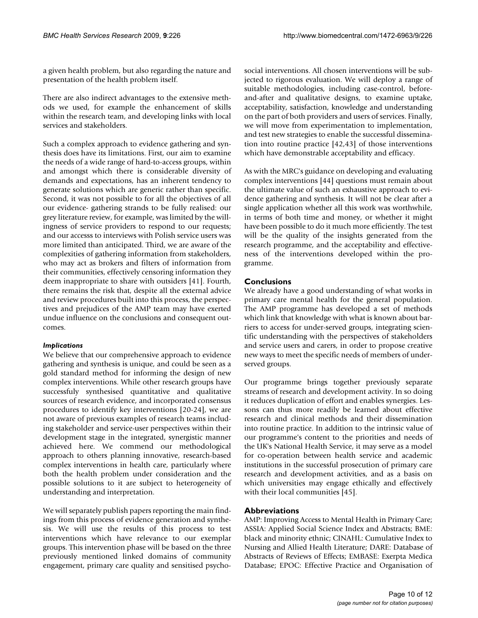a given health problem, but also regarding the nature and presentation of the health problem itself.

There are also indirect advantages to the extensive methods we used, for example the enhancement of skills within the research team, and developing links with local services and stakeholders.

Such a complex approach to evidence gathering and synthesis does have its limitations. First, our aim to examine the needs of a wide range of hard-to-access groups, within and amongst which there is considerable diversity of demands and expectations, has an inherent tendency to generate solutions which are generic rather than specific. Second, it was not possible to for all the objectives of all our evidence- gathering strands to be fully realised: our grey literature review, for example, was limited by the willingness of service providers to respond to our requests; and our accesss to interviews with Polish service users was more limited than anticipated. Third, we are aware of the complexities of gathering information from stakeholders, who may act as brokers and filters of information from their communities, effectively censoring information they deem inappropriate to share with outsiders [41]. Fourth, there remains the risk that, despite all the external advice and review procedures built into this process, the perspectives and prejudices of the AMP team may have exerted undue influence on the conclusions and consequent outcomes.

#### *Implications*

We believe that our comprehensive approach to evidence gathering and synthesis is unique, and could be seen as a gold standard method for informing the design of new complex interventions. While other research groups have successfuly synthesised quantitative and qualitative sources of research evidence, and incorporated consensus procedures to identify key interventions [20-24], we are not aware of previous examples of research teams including stakeholder and service-user perspectives within their development stage in the integrated, synergistic manner achieved here. We commend our methodological approach to others planning innovative, research-based complex interventions in health care, particularly where both the health problem under consideration and the possible solutions to it are subject to heterogeneity of understanding and interpretation.

We will separately publish papers reporting the main findings from this process of evidence generation and synthesis. We will use the results of this process to test interventions which have relevance to our exemplar groups. This intervention phase will be based on the three previously mentioned linked domains of community engagement, primary care quality and sensitised psychosocial interventions. All chosen interventions will be subjected to rigorous evaluation. We will deploy a range of suitable methodologies, including case-control, beforeand-after and qualitative designs, to examine uptake, acceptability, satisfaction, knowledge and understanding on the part of both providers and users of services. Finally, we will move from experimentation to implementation, and test new strategies to enable the successful dissemination into routine practice [42,43] of those interventions which have demonstrable acceptability and efficacy.

As with the MRC's guidance on developing and evaluating complex interventions [44] questions must remain about the ultimate value of such an exhaustive approach to evidence gathering and synthesis. It will not be clear after a single application whether all this work was worthwhile, in terms of both time and money, or whether it might have been possible to do it much more efficiently. The test will be the quality of the insights generated from the research programme, and the acceptability and effectiveness of the interventions developed within the programme.

## **Conclusions**

We already have a good understanding of what works in primary care mental health for the general population. The AMP programme has developed a set of methods which link that knowledge with what is known about barriers to access for under-served groups, integrating scientific understanding with the perspectives of stakeholders and service users and carers, in order to propose creative new ways to meet the specific needs of members of underserved groups.

Our programme brings together previously separate streams of research and development activity. In so doing it reduces duplication of effort and enables synergies. Lessons can thus more readily be learned about effective research and clinical methods and their dissemination into routine practice. In addition to the intrinsic value of our programme's content to the priorities and needs of the UK's National Health Service, it may serve as a model for co-operation between health service and academic institutions in the successful prosecution of primary care research and development activities, and as a basis on which universities may engage ethically and effectively with their local communities [45].

#### **Abbreviations**

AMP: Improving Access to Mental Health in Primary Care; ASSIA: Applied Social Science Index and Abstracts; BME: black and minority ethnic; CINAHL: Cumulative Index to Nursing and Allied Health Literature; DARE: Database of Abstracts of Reviews of Effects; EMBASE: Exerpta Medica Database; EPOC: Effective Practice and Organisation of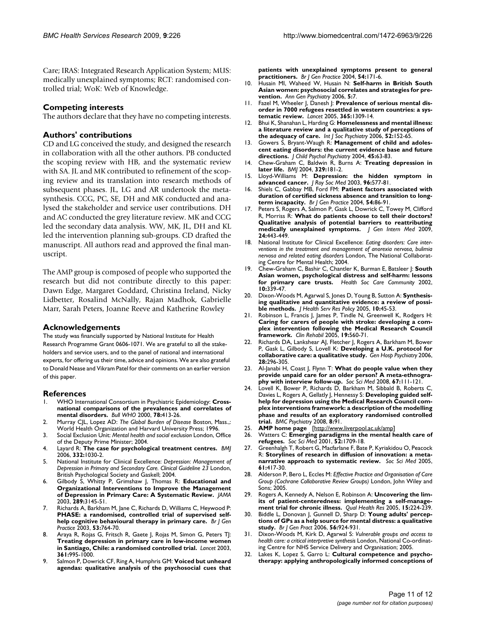Care; IRAS: Integrated Research Application System; MUS: medically unexplained symptoms; RCT: randomised controlled trial; WoK: Web of Knowledge.

#### **Competing interests**

The authors declare that they have no competing interests.

#### **Authors' contributions**

CD and LG conceived the study, and designed the research in collaboration with all the other authors. PB conducted the scoping review with HB, and the systematic review with SA. JL and MK contributed to refinement of the scoping review and its translation into research methods of subsequent phases. JL, LG and AR undertook the metasynthesis. CCG, PC, SE, DH and MK conducted and analysed the stakeholder and service user contributions. DH and AC conducted the grey literature review. MK and CCG led the secondary data analysis. WW, MK, JL, DH and KL led the intervention planning sub-groups. CD drafted the manuscript. All authors read and approved the final manuscript.

The AMP group is composed of people who supported the research but did not contribute directly to this paper: Dawn Edge, Margaret Goddard, Christina Ireland, Nicky Lidbetter, Rosalind McNally, Rajan Madhok, Gabrielle Marr, Sarah Peters, Joanne Reeve and Katherine Rowley

#### **Acknowledgements**

The study was financially supported by National Institute for Health Research Programme Grant 0606-1071. We are grateful to all the stakeholders and service users, and to the panel of national and international experts, for offering us their time, advice and opinions. We are also grateful to Donald Nease and Vikram Patel for their comments on an earlier version of this paper.

#### **References**

- 1. WHO International Consortium in Psychiatric Epidemiology: **[Cross](http://www.ncbi.nlm.nih.gov/entrez/query.fcgi?cmd=Retrieve&db=PubMed&dopt=Abstract&list_uids=10885160)[national comparisons of the prevalences and correlates of](http://www.ncbi.nlm.nih.gov/entrez/query.fcgi?cmd=Retrieve&db=PubMed&dopt=Abstract&list_uids=10885160) [mental disorders.](http://www.ncbi.nlm.nih.gov/entrez/query.fcgi?cmd=Retrieve&db=PubMed&dopt=Abstract&list_uids=10885160)** *Bull WHO* 2000, **78:**413-26.
- 2. Murray CJL, Lopez AD: *The Global Burden of Disease* Boston, Mass.,: World Health Organization and Harvard University Press; 1996.
- 3. Social Exclusion Unit: *Mental health and social exclusion* London, Office of the Deputy Prime Minister; 2004.
- 4. Layard R: **[The case for psychological treatment centres.](http://www.ncbi.nlm.nih.gov/entrez/query.fcgi?cmd=Retrieve&db=PubMed&dopt=Abstract&list_uids=16644834)** *BMJ* 2006, **332:**1030-2.
- 5. National Institute for Clinical Excellence: *Depression: Management of Depression in Primary and Secondary Care. Clinical Guideline 23* London, British Psychological Society and Gaskell; 2004.
- 6. Gilbody S, Whitty P, Grimshaw J, Thomas R: **[Educational and](http://www.ncbi.nlm.nih.gov/entrez/query.fcgi?cmd=Retrieve&db=PubMed&dopt=Abstract&list_uids=12813120) [Organizational Interventions to Improve the Management](http://www.ncbi.nlm.nih.gov/entrez/query.fcgi?cmd=Retrieve&db=PubMed&dopt=Abstract&list_uids=12813120) [of Depression in Primary Care: A Systematic Review.](http://www.ncbi.nlm.nih.gov/entrez/query.fcgi?cmd=Retrieve&db=PubMed&dopt=Abstract&list_uids=12813120)** *JAMA* 2003, **289:**3145-51.
- Richards A, Barkham M, Jane C, Richards D, Williams C, Heywood P: **PHASE: a randomised, controlled trial of supervised selfhelp cognitive behavioural therapy in primary care.** *Br J Gen Practice* 2003, **53:**764-70.
- 8. Araya R, Rojas G, Fritsch R, Gaete J, Rojas M, Simon G, Peters TJ: **[Treating depression in primary care in low-income women](http://www.ncbi.nlm.nih.gov/entrez/query.fcgi?cmd=Retrieve&db=PubMed&dopt=Abstract&list_uids=12660056) [in Santiago, Chile: a randomised controlled trial.](http://www.ncbi.nlm.nih.gov/entrez/query.fcgi?cmd=Retrieve&db=PubMed&dopt=Abstract&list_uids=12660056)** *Lancet* 2003, **361:**995-1000.
- 9. Salmon P, Dowrick CF, Ring A, Humphris GM: **Voiced but unheard agendas: qualitative analysis of the psychosocial cues that**

**patients with unexplained symptoms present to general practitioners.** *Br J Gen Practice* 2004, **54:**171-6.

- 10. Husain MI, Waheed W, Husain N: **[Self-harm in British South](http://www.ncbi.nlm.nih.gov/entrez/query.fcgi?cmd=Retrieve&db=PubMed&dopt=Abstract&list_uids=16716216) [Asian women: psychosocial correlates and strategies for pre](http://www.ncbi.nlm.nih.gov/entrez/query.fcgi?cmd=Retrieve&db=PubMed&dopt=Abstract&list_uids=16716216)[vention.](http://www.ncbi.nlm.nih.gov/entrez/query.fcgi?cmd=Retrieve&db=PubMed&dopt=Abstract&list_uids=16716216)** *Ann Gen Psychiatry* 2006, **5:**7.
- 11. Fazel M, Wheeler J, Danesh J: **[Prevalence of serious mental dis](http://www.ncbi.nlm.nih.gov/entrez/query.fcgi?cmd=Retrieve&db=PubMed&dopt=Abstract&list_uids=15823380)[order in 7000 refugees resettled in western countries: a sys](http://www.ncbi.nlm.nih.gov/entrez/query.fcgi?cmd=Retrieve&db=PubMed&dopt=Abstract&list_uids=15823380)[tematic review.](http://www.ncbi.nlm.nih.gov/entrez/query.fcgi?cmd=Retrieve&db=PubMed&dopt=Abstract&list_uids=15823380)** *Lancet* 2005, **365:**1309-14.
- 12. Bhui K, Shanahan L, Harding G: **[Homelessness and mental illness:](http://www.ncbi.nlm.nih.gov/entrez/query.fcgi?cmd=Retrieve&db=PubMed&dopt=Abstract&list_uids=16615247) [a literature review and a qualitative study of perceptions of](http://www.ncbi.nlm.nih.gov/entrez/query.fcgi?cmd=Retrieve&db=PubMed&dopt=Abstract&list_uids=16615247) [the adequacy of care.](http://www.ncbi.nlm.nih.gov/entrez/query.fcgi?cmd=Retrieve&db=PubMed&dopt=Abstract&list_uids=16615247)** *Int J Soc Psychiatry* 2006, **52:**152-65.
- 13. Gowers S, Bryant-Waugh R: **[Management of child and adoles](http://www.ncbi.nlm.nih.gov/entrez/query.fcgi?cmd=Retrieve&db=PubMed&dopt=Abstract&list_uids=14959803)[cent eating disorders: the current evidence base and future](http://www.ncbi.nlm.nih.gov/entrez/query.fcgi?cmd=Retrieve&db=PubMed&dopt=Abstract&list_uids=14959803) [directions.](http://www.ncbi.nlm.nih.gov/entrez/query.fcgi?cmd=Retrieve&db=PubMed&dopt=Abstract&list_uids=14959803)** *J Child Psychol Psychiatry* 2004, **45:**63-83.
- 14. Chew-Graham C, Baldwin R, Burns A: **[Treating depression in](http://www.ncbi.nlm.nih.gov/entrez/query.fcgi?cmd=Retrieve&db=PubMed&dopt=Abstract&list_uids=15271803) [later life.](http://www.ncbi.nlm.nih.gov/entrez/query.fcgi?cmd=Retrieve&db=PubMed&dopt=Abstract&list_uids=15271803)** *BMJ* 2004, **329:**181-2.
- 15. Lloyd-Williams M: **[Depression: the hidden symptom in](http://www.ncbi.nlm.nih.gov/entrez/query.fcgi?cmd=Retrieve&db=PubMed&dopt=Abstract&list_uids=14645605) [advanced cancer.](http://www.ncbi.nlm.nih.gov/entrez/query.fcgi?cmd=Retrieve&db=PubMed&dopt=Abstract&list_uids=14645605)** *J Roy Soc Med* 2003, **96:**577-81.
- 16. Shiels C, Gabbay MB, Ford FM: **Patient factors associated with duration of certified sickness absence and transition to longterm incapacity.** *Br J Gen Practice* 2004, **54:**86-91.
- 17. Peters S, Rogers A, Salmon P, Gask L, Dowrick C, Towey M, Clifford R, Morriss R: **[What do patients choose to tell their doctors?](http://www.ncbi.nlm.nih.gov/entrez/query.fcgi?cmd=Retrieve&db=PubMed&dopt=Abstract&list_uids=19089505) [Qualitative analysis of potential barriers to reattributing](http://www.ncbi.nlm.nih.gov/entrez/query.fcgi?cmd=Retrieve&db=PubMed&dopt=Abstract&list_uids=19089505) [medically unexplained symptoms.](http://www.ncbi.nlm.nih.gov/entrez/query.fcgi?cmd=Retrieve&db=PubMed&dopt=Abstract&list_uids=19089505)** *J Gen Intern Med* 2009, **24:**443-449.
- 18. National Institute for Clinical Excellence: *Eating disorders: Core interventions in the treatment and management of anorexia nervosa, bulimia nervosa and related eating disorders* London, The National Collaborating Centre for Mental Health; 2004.
- 19. Chew-Graham C, Bashir C, Chantler K, Burman E, Batsleer J: **[South](http://www.ncbi.nlm.nih.gov/entrez/query.fcgi?cmd=Retrieve&db=PubMed&dopt=Abstract&list_uids=12390220) [Asian women, psychological distress and self-harm: lessons](http://www.ncbi.nlm.nih.gov/entrez/query.fcgi?cmd=Retrieve&db=PubMed&dopt=Abstract&list_uids=12390220) [for primary care trusts.](http://www.ncbi.nlm.nih.gov/entrez/query.fcgi?cmd=Retrieve&db=PubMed&dopt=Abstract&list_uids=12390220)** *Health Soc Care Community* 2002, **10:**339-47.
- 20. Dixon-Woods M, Agarwal S, Jones D, Young B, Sutton A: **[Synthesis](http://www.ncbi.nlm.nih.gov/entrez/query.fcgi?cmd=Retrieve&db=PubMed&dopt=Abstract&list_uids=15667704)[ing qualitative and quantitative evidence: a review of possi](http://www.ncbi.nlm.nih.gov/entrez/query.fcgi?cmd=Retrieve&db=PubMed&dopt=Abstract&list_uids=15667704)[ble methods.](http://www.ncbi.nlm.nih.gov/entrez/query.fcgi?cmd=Retrieve&db=PubMed&dopt=Abstract&list_uids=15667704)** *J Health Serv Res Policy* 2005, **10:**45-53.
- 21. Robinson L, Francis J, James P, Tindle N, Greenwell K, Rodgers H: **[Caring for carers of people with stroke: developing a com](http://www.ncbi.nlm.nih.gov/entrez/query.fcgi?cmd=Retrieve&db=PubMed&dopt=Abstract&list_uids=16119413)plex intervention following the Medical Research Council [framework.](http://www.ncbi.nlm.nih.gov/entrez/query.fcgi?cmd=Retrieve&db=PubMed&dopt=Abstract&list_uids=16119413)** *Clin Rehabil* 2005, **19:**560-71.
- 22. Richards DA, Lankshear AJ, Fletcher J, Rogers A, Barkham M, Bower P, Gask L, Gilbody S, Lovell K: **[Developing a U.K. protocol for](http://www.ncbi.nlm.nih.gov/entrez/query.fcgi?cmd=Retrieve&db=PubMed&dopt=Abstract&list_uids=16814628) [collaborative care: a qualitative study.](http://www.ncbi.nlm.nih.gov/entrez/query.fcgi?cmd=Retrieve&db=PubMed&dopt=Abstract&list_uids=16814628)** *Gen Hosp Psychiatry* 2006, **28:**296-305.
- 23. Al-Janabi H, Coast J, Flynn T: **[What do people value when they](http://www.ncbi.nlm.nih.gov/entrez/query.fcgi?cmd=Retrieve&db=PubMed&dopt=Abstract&list_uids=18436359) [provide unpaid care for an older person? A meta-ethnogra](http://www.ncbi.nlm.nih.gov/entrez/query.fcgi?cmd=Retrieve&db=PubMed&dopt=Abstract&list_uids=18436359)[phy with interview follow-up.](http://www.ncbi.nlm.nih.gov/entrez/query.fcgi?cmd=Retrieve&db=PubMed&dopt=Abstract&list_uids=18436359)** *Soc Sci Med* 2008, **67:**111-121.
- 24. Lovell K, Bower P, Richards D, Barkham M, Sibbald B, Roberts C, Davies L, Rogers A, Gellatly J, Hennessy S: **[Developing guided self](http://www.ncbi.nlm.nih.gov/entrez/query.fcgi?cmd=Retrieve&db=PubMed&dopt=Abstract&list_uids=19025646)[help for depression using the Medical Research Council com](http://www.ncbi.nlm.nih.gov/entrez/query.fcgi?cmd=Retrieve&db=PubMed&dopt=Abstract&list_uids=19025646)plex interventions framework: a description of the modelling phase and results of an exploratory randomised controlled [trial.](http://www.ncbi.nlm.nih.gov/entrez/query.fcgi?cmd=Retrieve&db=PubMed&dopt=Abstract&list_uids=19025646)** *BMC Psychiatry* 2008, **8:**91.
- 25. **AMP home page** [[http://www.liverpool.ac.uk/amp\]](http://www.liverpool.ac.uk/amp)
- 26. Watters C: **[Emerging paradigms in the mental health care of](http://www.ncbi.nlm.nih.gov/entrez/query.fcgi?cmd=Retrieve&db=PubMed&dopt=Abstract&list_uids=11327142) [refugees.](http://www.ncbi.nlm.nih.gov/entrez/query.fcgi?cmd=Retrieve&db=PubMed&dopt=Abstract&list_uids=11327142)** *Soc Sci Med* 2001, **52:**1709-18.
- 27. Greenhalgh T, Robert G, Macfarlane F, Bate P, Kyriakidou O, Peacock R: **[Storylines of research in diffusion of innovation: a meta](http://www.ncbi.nlm.nih.gov/entrez/query.fcgi?cmd=Retrieve&db=PubMed&dopt=Abstract&list_uids=15893056)[narrative approach to systematic review.](http://www.ncbi.nlm.nih.gov/entrez/query.fcgi?cmd=Retrieve&db=PubMed&dopt=Abstract&list_uids=15893056)** *Soc Sci Med* 2005, **61:**417-30.
- 28. Alderson P, Bero L, Eccles M: *Effective Practice and Organisation of Care Group (Cochrane Collaborative Review Groups)* London, John Wiley and Sons; 2005.
- 29. Rogers A, Kennedy A, Nelson E, Robinson A: **[Uncovering the lim](http://www.ncbi.nlm.nih.gov/entrez/query.fcgi?cmd=Retrieve&db=PubMed&dopt=Abstract&list_uids=15611205)[its of patient-centeredness: implementing a self-manage](http://www.ncbi.nlm.nih.gov/entrez/query.fcgi?cmd=Retrieve&db=PubMed&dopt=Abstract&list_uids=15611205)[ment trial for chronic illness.](http://www.ncbi.nlm.nih.gov/entrez/query.fcgi?cmd=Retrieve&db=PubMed&dopt=Abstract&list_uids=15611205)** *Qual Health Res* 2005, **15:**224-239.
- Biddle L, Donovan J, Gunnell D, Sharp D: [Young adults' percep](http://www.ncbi.nlm.nih.gov/entrez/query.fcgi?cmd=Retrieve&db=PubMed&dopt=Abstract&list_uids=17132380)**[tions of GPs as a help source for mental distress: a qualitative](http://www.ncbi.nlm.nih.gov/entrez/query.fcgi?cmd=Retrieve&db=PubMed&dopt=Abstract&list_uids=17132380) [study.](http://www.ncbi.nlm.nih.gov/entrez/query.fcgi?cmd=Retrieve&db=PubMed&dopt=Abstract&list_uids=17132380)** *Br J Gen Pract* 2006, **56:**924-931.
- 31. Dixon-Woods M, Kirk D, Agarwal S: *Vulnerable groups and access to health care: a critical interpretive synthesis* London, National Co-ordinating Centre for NHS Service Delivery and Organisation; 2005.
- 32. Lakes K, Lopez S, Garro L: **Cultural competence and psychotherapy: applying anthropologically informed conceptions of**